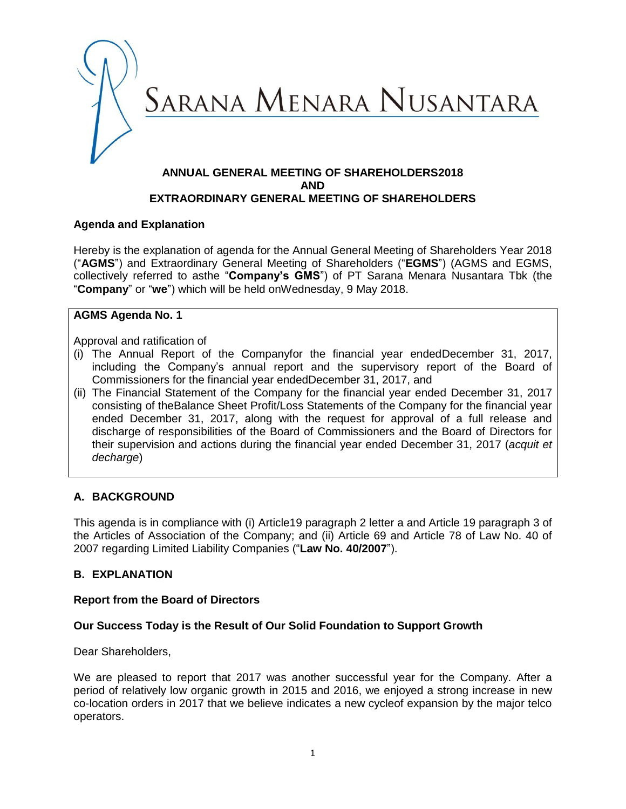

### **ANNUAL GENERAL MEETING OF SHAREHOLDERS2018 AND EXTRAORDINARY GENERAL MEETING OF SHAREHOLDERS**

### **Agenda and Explanation**

Hereby is the explanation of agenda for the Annual General Meeting of Shareholders Year 2018 ("**AGMS**") and Extraordinary General Meeting of Shareholders ("**EGMS**") (AGMS and EGMS, collectively referred to asthe "**Company's GMS**") of PT Sarana Menara Nusantara Tbk (the "**Company**" or "**we**") which will be held onWednesday, 9 May 2018.

### **AGMS Agenda No. 1**

Approval and ratification of

- (i) The Annual Report of the Companyfor the financial year endedDecember 31, 2017, including the Company"s annual report and the supervisory report of the Board of Commissioners for the financial year endedDecember 31, 2017, and
- (ii) The Financial Statement of the Company for the financial year ended December 31, 2017 consisting of theBalance Sheet Profit/Loss Statements of the Company for the financial year ended December 31, 2017, along with the request for approval of a full release and discharge of responsibilities of the Board of Commissioners and the Board of Directors for their supervision and actions during the financial year ended December 31, 2017 (*acquit et decharge*)

## **A. BACKGROUND**

This agenda is in compliance with (i) Article19 paragraph 2 letter a and Article 19 paragraph 3 of the Articles of Association of the Company; and (ii) Article 69 and Article 78 of Law No. 40 of 2007 regarding Limited Liability Companies ("**Law No. 40/2007**").

### **B. EXPLANATION**

### **Report from the Board of Directors**

### **Our Success Today is the Result of Our Solid Foundation to Support Growth**

Dear Shareholders,

We are pleased to report that 2017 was another successful year for the Company. After a period of relatively low organic growth in 2015 and 2016, we enjoyed a strong increase in new co-location orders in 2017 that we believe indicates a new cycleof expansion by the major telco operators.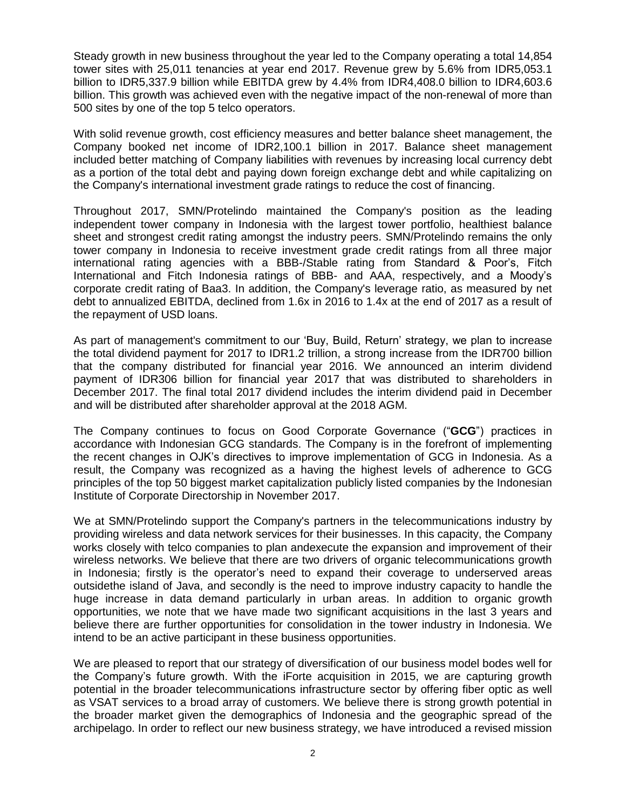Steady growth in new business throughout the year led to the Company operating a total 14,854 tower sites with 25,011 tenancies at year end 2017. Revenue grew by 5.6% from IDR5,053.1 billion to IDR5,337.9 billion while EBITDA grew by 4.4% from IDR4,408.0 billion to IDR4,603.6 billion. This growth was achieved even with the negative impact of the non-renewal of more than 500 sites by one of the top 5 telco operators.

With solid revenue growth, cost efficiency measures and better balance sheet management, the Company booked net income of IDR2,100.1 billion in 2017. Balance sheet management included better matching of Company liabilities with revenues by increasing local currency debt as a portion of the total debt and paying down foreign exchange debt and while capitalizing on the Company's international investment grade ratings to reduce the cost of financing.

Throughout 2017, SMN/Protelindo maintained the Company's position as the leading independent tower company in Indonesia with the largest tower portfolio, healthiest balance sheet and strongest credit rating amongst the industry peers. SMN/Protelindo remains the only tower company in Indonesia to receive investment grade credit ratings from all three major international rating agencies with a BBB-/Stable rating from Standard & Poor"s, Fitch International and Fitch Indonesia ratings of BBB- and AAA, respectively, and a Moody"s corporate credit rating of Baa3. In addition, the Company's leverage ratio, as measured by net debt to annualized EBITDA, declined from 1.6x in 2016 to 1.4x at the end of 2017 as a result of the repayment of USD loans.

As part of management's commitment to our "Buy, Build, Return" strategy, we plan to increase the total dividend payment for 2017 to IDR1.2 trillion, a strong increase from the IDR700 billion that the company distributed for financial year 2016. We announced an interim dividend payment of IDR306 billion for financial year 2017 that was distributed to shareholders in December 2017. The final total 2017 dividend includes the interim dividend paid in December and will be distributed after shareholder approval at the 2018 AGM.

The Company continues to focus on Good Corporate Governance ("**GCG**") practices in accordance with Indonesian GCG standards. The Company is in the forefront of implementing the recent changes in OJK"s directives to improve implementation of GCG in Indonesia. As a result, the Company was recognized as a having the highest levels of adherence to GCG principles of the top 50 biggest market capitalization publicly listed companies by the Indonesian Institute of Corporate Directorship in November 2017.

We at SMN/Protelindo support the Company's partners in the telecommunications industry by providing wireless and data network services for their businesses. In this capacity, the Company works closely with telco companies to plan andexecute the expansion and improvement of their wireless networks. We believe that there are two drivers of organic telecommunications growth in Indonesia; firstly is the operator's need to expand their coverage to underserved areas outsidethe island of Java, and secondly is the need to improve industry capacity to handle the huge increase in data demand particularly in urban areas. In addition to organic growth opportunities, we note that we have made two significant acquisitions in the last 3 years and believe there are further opportunities for consolidation in the tower industry in Indonesia. We intend to be an active participant in these business opportunities.

We are pleased to report that our strategy of diversification of our business model bodes well for the Company"s future growth. With the iForte acquisition in 2015, we are capturing growth potential in the broader telecommunications infrastructure sector by offering fiber optic as well as VSAT services to a broad array of customers. We believe there is strong growth potential in the broader market given the demographics of Indonesia and the geographic spread of the archipelago. In order to reflect our new business strategy, we have introduced a revised mission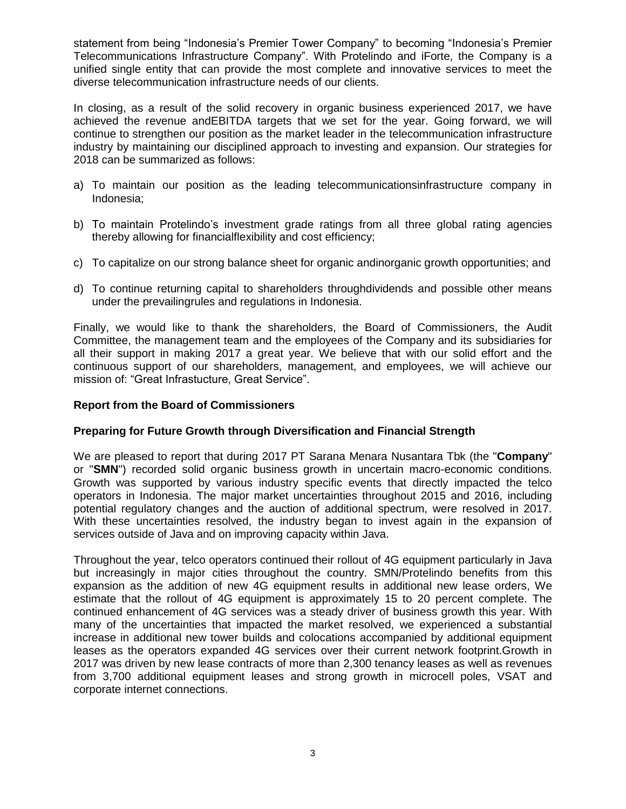statement from being "Indonesia"s Premier Tower Company" to becoming "Indonesia"s Premier Telecommunications Infrastructure Company". With Protelindo and iForte, the Company is a unified single entity that can provide the most complete and innovative services to meet the diverse telecommunication infrastructure needs of our clients.

In closing, as a result of the solid recovery in organic business experienced 2017, we have achieved the revenue andEBITDA targets that we set for the year. Going forward, we will continue to strengthen our position as the market leader in the telecommunication infrastructure industry by maintaining our disciplined approach to investing and expansion. Our strategies for 2018 can be summarized as follows:

- a) To maintain our position as the leading telecommunicationsinfrastructure company in Indonesia;
- b) To maintain Protelindo's investment grade ratings from all three global rating agencies thereby allowing for financialflexibility and cost efficiency;
- c) To capitalize on our strong balance sheet for organic andinorganic growth opportunities; and
- d) To continue returning capital to shareholders throughdividends and possible other means under the prevailingrules and regulations in Indonesia.

Finally, we would like to thank the shareholders, the Board of Commissioners, the Audit Committee, the management team and the employees of the Company and its subsidiaries for all their support in making 2017 a great year. We believe that with our solid effort and the continuous support of our shareholders, management, and employees, we will achieve our mission of: "Great Infrastucture, Great Service".

#### **Report from the Board of Commissioners**

### **Preparing for Future Growth through Diversification and Financial Strength**

We are pleased to report that during 2017 PT Sarana Menara Nusantara Tbk (the "**Company**" or "**SMN**") recorded solid organic business growth in uncertain macro-economic conditions. Growth was supported by various industry specific events that directly impacted the telco operators in Indonesia. The major market uncertainties throughout 2015 and 2016, including potential regulatory changes and the auction of additional spectrum, were resolved in 2017. With these uncertainties resolved, the industry began to invest again in the expansion of services outside of Java and on improving capacity within Java.

Throughout the year, telco operators continued their rollout of 4G equipment particularly in Java but increasingly in major cities throughout the country. SMN/Protelindo benefits from this expansion as the addition of new 4G equipment results in additional new lease orders, We estimate that the rollout of 4G equipment is approximately 15 to 20 percent complete. The continued enhancement of 4G services was a steady driver of business growth this year. With many of the uncertainties that impacted the market resolved, we experienced a substantial increase in additional new tower builds and colocations accompanied by additional equipment leases as the operators expanded 4G services over their current network footprint.Growth in 2017 was driven by new lease contracts of more than 2,300 tenancy leases as well as revenues from 3,700 additional equipment leases and strong growth in microcell poles, VSAT and corporate internet connections.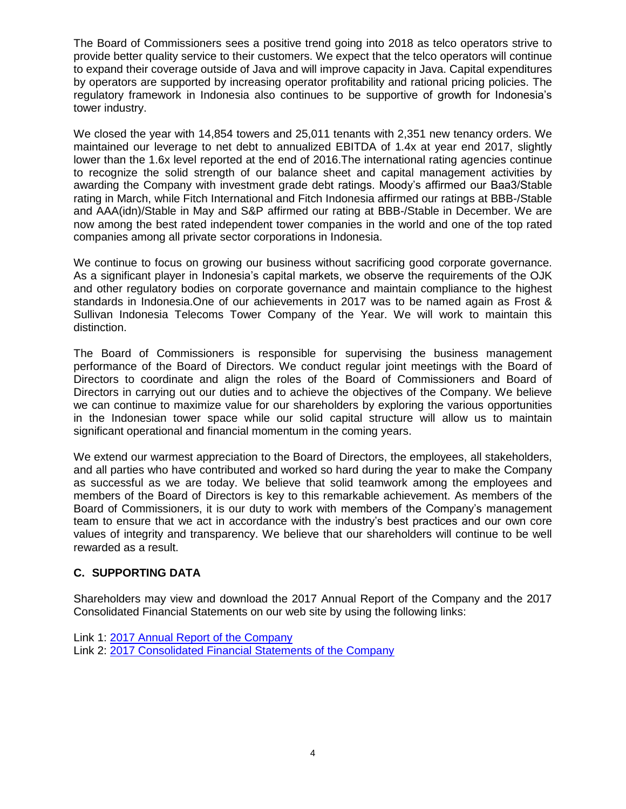The Board of Commissioners sees a positive trend going into 2018 as telco operators strive to provide better quality service to their customers. We expect that the telco operators will continue to expand their coverage outside of Java and will improve capacity in Java. Capital expenditures by operators are supported by increasing operator profitability and rational pricing policies. The regulatory framework in Indonesia also continues to be supportive of growth for Indonesia"s tower industry.

We closed the year with 14,854 towers and 25,011 tenants with 2,351 new tenancy orders. We maintained our leverage to net debt to annualized EBITDA of 1.4x at year end 2017, slightly lower than the 1.6x level reported at the end of 2016.The international rating agencies continue to recognize the solid strength of our balance sheet and capital management activities by awarding the Company with investment grade debt ratings. Moody"s affirmed our Baa3/Stable rating in March, while Fitch International and Fitch Indonesia affirmed our ratings at BBB-/Stable and AAA(idn)/Stable in May and S&P affirmed our rating at BBB-/Stable in December. We are now among the best rated independent tower companies in the world and one of the top rated companies among all private sector corporations in Indonesia.

We continue to focus on growing our business without sacrificing good corporate governance. As a significant player in Indonesia"s capital markets, we observe the requirements of the OJK and other regulatory bodies on corporate governance and maintain compliance to the highest standards in Indonesia.One of our achievements in 2017 was to be named again as Frost & Sullivan Indonesia Telecoms Tower Company of the Year. We will work to maintain this distinction.

The Board of Commissioners is responsible for supervising the business management performance of the Board of Directors. We conduct regular joint meetings with the Board of Directors to coordinate and align the roles of the Board of Commissioners and Board of Directors in carrying out our duties and to achieve the objectives of the Company. We believe we can continue to maximize value for our shareholders by exploring the various opportunities in the Indonesian tower space while our solid capital structure will allow us to maintain significant operational and financial momentum in the coming years.

We extend our warmest appreciation to the Board of Directors, the employees, all stakeholders, and all parties who have contributed and worked so hard during the year to make the Company as successful as we are today. We believe that solid teamwork among the employees and members of the Board of Directors is key to this remarkable achievement. As members of the Board of Commissioners, it is our duty to work with members of the Company"s management team to ensure that we act in accordance with the industry"s best practices and our own core values of integrity and transparency. We believe that our shareholders will continue to be well rewarded as a result.

# **C. SUPPORTING DATA**

Shareholders may view and download the 2017 Annual Report of the Company and the 2017 Consolidated Financial Statements on our web site by using the following links:

Link 1: [2017 Annual Report of the](http://phpdev02-svr/SMN/assets/files/SMN/RUPS/SMN_1805_L1_-_Laporan_Tahunan_Perseroan_2017.pdf) Company Link 2: [2017 Consolidated Financial Statements of the Company](http://phpdev02-svr/SMN/assets/files/SMN/RUPS/SMN_1805_L2_-_Laporan_Keuangan_Konsolidasi_2017.pdf)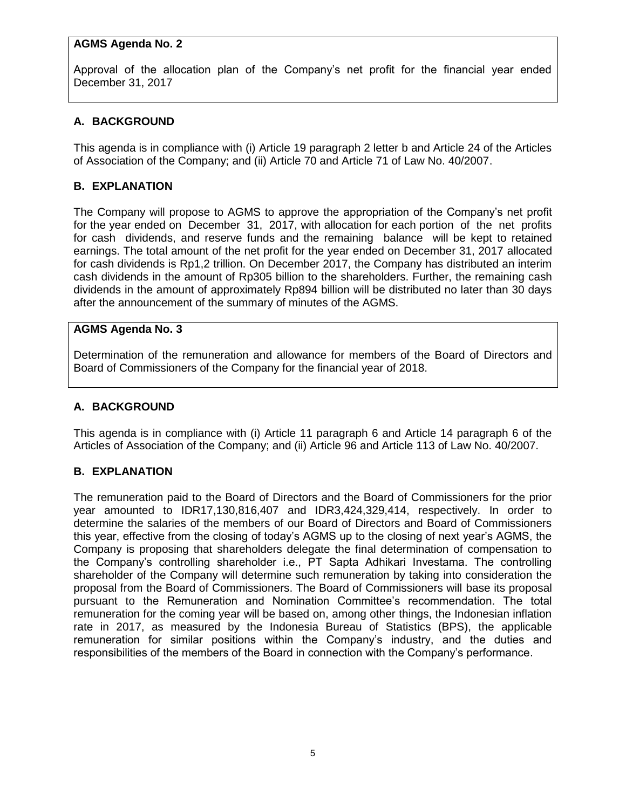### **AGMS Agenda No. 2**

Approval of the allocation plan of the Company"s net profit for the financial year ended December 31, 2017

## **A. BACKGROUND**

This agenda is in compliance with (i) Article 19 paragraph 2 letter b and Article 24 of the Articles of Association of the Company; and (ii) Article 70 and Article 71 of Law No. 40/2007.

### **B. EXPLANATION**

The Company will propose to AGMS to approve the appropriation of the Company"s net profit for the year ended on December 31, 2017, with allocation for each portion of the net profits for cash dividends, and reserve funds and the remaining balance will be kept to retained earnings. The total amount of the net profit for the year ended on December 31, 2017 allocated for cash dividends is Rp1,2 trillion. On December 2017, the Company has distributed an interim cash dividends in the amount of Rp305 billion to the shareholders. Further, the remaining cash dividends in the amount of approximately Rp894 billion will be distributed no later than 30 days after the announcement of the summary of minutes of the AGMS.

### **AGMS Agenda No. 3**

Determination of the remuneration and allowance for members of the Board of Directors and Board of Commissioners of the Company for the financial year of 2018.

### **A. BACKGROUND**

This agenda is in compliance with (i) Article 11 paragraph 6 and Article 14 paragraph 6 of the Articles of Association of the Company; and (ii) Article 96 and Article 113 of Law No. 40/2007.

### **B. EXPLANATION**

The remuneration paid to the Board of Directors and the Board of Commissioners for the prior year amounted to IDR17,130,816,407 and IDR3,424,329,414, respectively. In order to determine the salaries of the members of our Board of Directors and Board of Commissioners this year, effective from the closing of today"s AGMS up to the closing of next year"s AGMS, the Company is proposing that shareholders delegate the final determination of compensation to the Company"s controlling shareholder i.e., PT Sapta Adhikari Investama. The controlling shareholder of the Company will determine such remuneration by taking into consideration the proposal from the Board of Commissioners. The Board of Commissioners will base its proposal pursuant to the Remuneration and Nomination Committee"s recommendation. The total remuneration for the coming year will be based on, among other things, the Indonesian inflation rate in 2017, as measured by the Indonesia Bureau of Statistics (BPS), the applicable remuneration for similar positions within the Company"s industry, and the duties and responsibilities of the members of the Board in connection with the Company"s performance.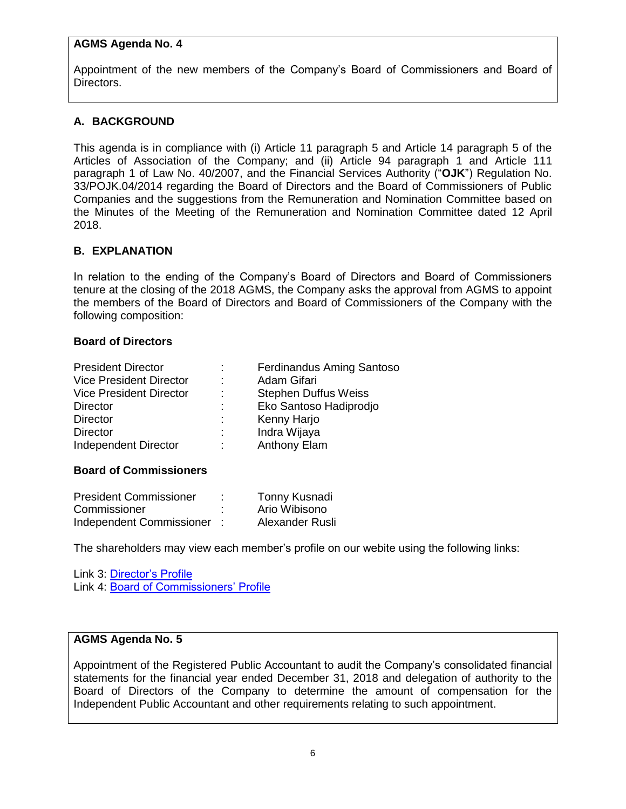#### **AGMS Agenda No. 4**

Appointment of the new members of the Company"s Board of Commissioners and Board of Directors.

### **A. BACKGROUND**

This agenda is in compliance with (i) Article 11 paragraph 5 and Article 14 paragraph 5 of the Articles of Association of the Company; and (ii) Article 94 paragraph 1 and Article 111 paragraph 1 of Law No. 40/2007, and the Financial Services Authority ("**OJK**") Regulation No. 33/POJK.04/2014 regarding the Board of Directors and the Board of Commissioners of Public Companies and the suggestions from the Remuneration and Nomination Committee based on the Minutes of the Meeting of the Remuneration and Nomination Committee dated 12 April 2018.

#### **B. EXPLANATION**

In relation to the ending of the Company"s Board of Directors and Board of Commissioners tenure at the closing of the 2018 AGMS, the Company asks the approval from AGMS to appoint the members of the Board of Directors and Board of Commissioners of the Company with the following composition:

#### **Board of Directors**

| <b>President Director</b>      |   | <b>Ferdinandus Aming Santoso</b> |
|--------------------------------|---|----------------------------------|
| <b>Vice President Director</b> | ٠ | Adam Gifari                      |
| <b>Vice President Director</b> | ÷ | <b>Stephen Duffus Weiss</b>      |
| <b>Director</b>                |   | Eko Santoso Hadiprodjo           |
| <b>Director</b>                |   | Kenny Harjo                      |
| <b>Director</b>                |   | Indra Wijaya                     |
| <b>Independent Director</b>    |   | <b>Anthony Elam</b>              |
|                                |   |                                  |

#### **Board of Commissioners**

| <b>President Commissioner</b> | Tonny Kusnadi   |
|-------------------------------|-----------------|
| Commissioner                  | Ario Wibisono   |
| Independent Commissioner      | Alexander Rusli |

The shareholders may view each member"s profile on our webite using the following links:

Link 3: [Director"s Profile](http://phpdev02-svr/SMN/assets/files/SMN/RUPS/SMN_1805_L3_-_Profil_Direksi.pdf) Link 4: Board of Commissioners' Profile

#### **AGMS Agenda No. 5**

Appointment of the Registered Public Accountant to audit the Company"s consolidated financial statements for the financial year ended December 31, 2018 and delegation of authority to the Board of Directors of the Company to determine the amount of compensation for the Independent Public Accountant and other requirements relating to such appointment.